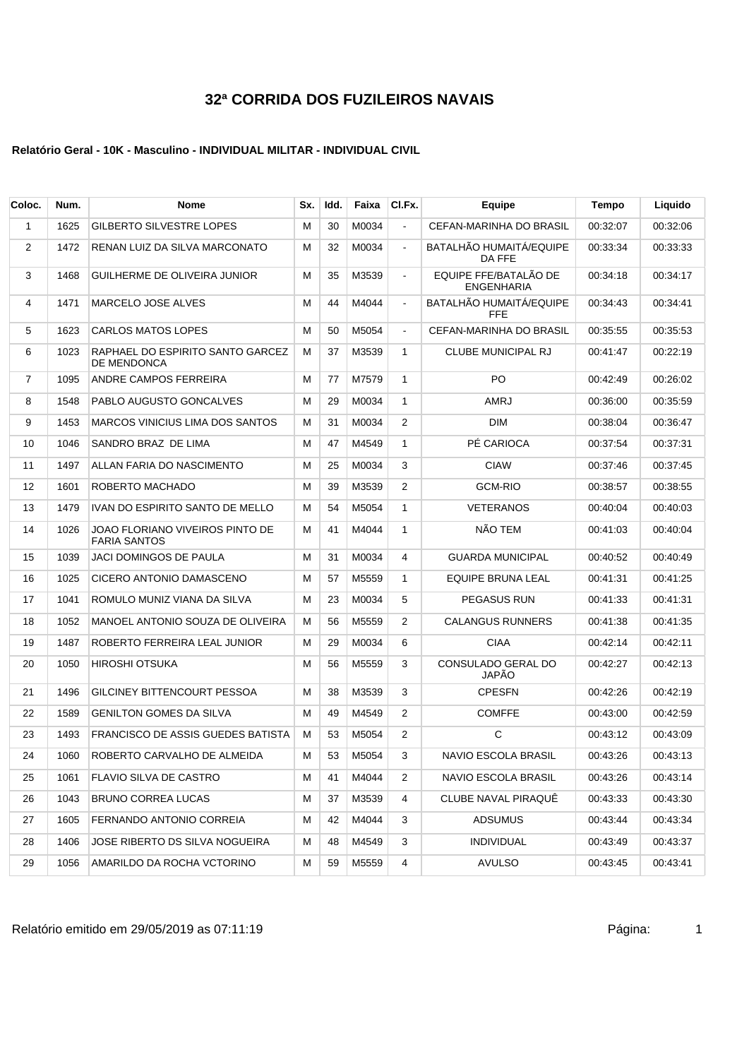| Coloc.         | Num. | Nome                                                   | Sx. | Idd. | Faixa | CI.Fx.                | Equipe                                     | Tempo    | Liquido  |
|----------------|------|--------------------------------------------------------|-----|------|-------|-----------------------|--------------------------------------------|----------|----------|
| 1              | 1625 | <b>GILBERTO SILVESTRE LOPES</b>                        | M   | 30   | M0034 | $\blacksquare$        | CEFAN-MARINHA DO BRASIL                    | 00:32:07 | 00:32:06 |
| 2              | 1472 | RENAN LUIZ DA SILVA MARCONATO                          | М   | 32   | M0034 | $\blacksquare$        | BATALHÃO HUMAITÁ/EQUIPE<br>DA FFE          | 00:33:34 | 00:33:33 |
| 3              | 1468 | GUILHERME DE OLIVEIRA JUNIOR                           | М   | 35   | M3539 | $\sim$                | EQUIPE FFE/BATALÃO DE<br><b>ENGENHARIA</b> | 00:34:18 | 00:34:17 |
| 4              | 1471 | <b>MARCELO JOSE ALVES</b>                              | M   | 44   | M4044 | $\tilde{\phantom{a}}$ | BATALHÃO HUMAITÁ/EQUIPE<br><b>FFE</b>      | 00:34:43 | 00:34:41 |
| 5              | 1623 | <b>CARLOS MATOS LOPES</b>                              | м   | 50   | M5054 | $\blacksquare$        | CEFAN-MARINHA DO BRASIL                    | 00:35:55 | 00:35:53 |
| 6              | 1023 | RAPHAEL DO ESPIRITO SANTO GARCEZ<br><b>DE MENDONCA</b> | М   | 37   | M3539 | $\mathbf{1}$          | <b>CLUBE MUNICIPAL RJ</b>                  | 00:41:47 | 00:22:19 |
| $\overline{7}$ | 1095 | ANDRE CAMPOS FERREIRA                                  | M   | 77   | M7579 | $\mathbf{1}$          | PO.                                        | 00:42:49 | 00:26:02 |
| 8              | 1548 | PABLO AUGUSTO GONCALVES                                | M   | 29   | M0034 | $\mathbf{1}$          | AMRJ                                       | 00:36:00 | 00:35:59 |
| 9              | 1453 | MARCOS VINICIUS LIMA DOS SANTOS                        | М   | 31   | M0034 | 2                     | <b>DIM</b>                                 | 00:38:04 | 00:36:47 |
| 10             | 1046 | SANDRO BRAZ DE LIMA                                    | М   | 47   | M4549 | $\mathbf{1}$          | PÉ CARIOCA                                 | 00:37:54 | 00:37:31 |
| 11             | 1497 | ALLAN FARIA DO NASCIMENTO                              | М   | 25   | M0034 | 3                     | <b>CIAW</b>                                | 00:37:46 | 00:37:45 |
| 12             | 1601 | ROBERTO MACHADO                                        | м   | 39   | M3539 | $\overline{2}$        | <b>GCM-RIO</b>                             | 00:38:57 | 00:38:55 |
| 13             | 1479 | IVAN DO ESPIRITO SANTO DE MELLO                        | м   | 54   | M5054 | $\mathbf{1}$          | <b>VETERANOS</b>                           | 00:40:04 | 00:40:03 |
| 14             | 1026 | JOAO FLORIANO VIVEIROS PINTO DE<br><b>FARIA SANTOS</b> | М   | 41   | M4044 | 1                     | NÃO TEM                                    | 00:41:03 | 00:40:04 |
| 15             | 1039 | JACI DOMINGOS DE PAULA                                 | М   | 31   | M0034 | 4                     | <b>GUARDA MUNICIPAL</b>                    | 00:40:52 | 00:40:49 |
| 16             | 1025 | CICERO ANTONIO DAMASCENO                               | М   | 57   | M5559 | $\mathbf{1}$          | EQUIPE BRUNA LEAL                          | 00:41:31 | 00:41:25 |
| 17             | 1041 | ROMULO MUNIZ VIANA DA SILVA                            | м   | 23   | M0034 | 5                     | <b>PEGASUS RUN</b>                         | 00:41:33 | 00:41:31 |
| 18             | 1052 | MANOEL ANTONIO SOUZA DE OLIVEIRA                       | м   | 56   | M5559 | $\overline{2}$        | <b>CALANGUS RUNNERS</b>                    | 00:41:38 | 00:41:35 |
| 19             | 1487 | ROBERTO FERREIRA LEAL JUNIOR                           | М   | 29   | M0034 | 6                     | <b>CIAA</b>                                | 00:42:14 | 00:42:11 |
| 20             | 1050 | HIROSHI OTSUKA                                         | M   | 56   | M5559 | 3                     | CONSULADO GERAL DO<br><b>JAPÃO</b>         | 00:42:27 | 00:42:13 |
| 21             | 1496 | GILCINEY BITTENCOURT PESSOA                            | М   | 38   | M3539 | 3                     | <b>CPESFN</b>                              | 00:42:26 | 00:42:19 |
| 22             | 1589 | <b>GENILTON GOMES DA SILVA</b>                         | м   | 49   | M4549 | 2                     | <b>COMFFE</b>                              | 00:43:00 | 00:42:59 |
| 23             | 1493 | FRANCISCO DE ASSIS GUEDES BATISTA                      | М   | 53   | M5054 | 2                     | С                                          | 00:43:12 | 00:43:09 |
| 24             | 1060 | ROBERTO CARVALHO DE ALMEIDA                            | M   | 53   | M5054 | 3                     | NAVIO ESCOLA BRASIL                        | 00:43:26 | 00:43:13 |
| 25             | 1061 | FLAVIO SILVA DE CASTRO                                 | м   | 41   | M4044 | 2                     | NAVIO ESCOLA BRASIL                        | 00:43:26 | 00:43:14 |
| 26             | 1043 | <b>BRUNO CORREA LUCAS</b>                              | м   | 37   | M3539 | 4                     | <b>CLUBE NAVAL PIRAQUE</b>                 | 00:43:33 | 00:43:30 |
| 27             | 1605 | FERNANDO ANTONIO CORREIA                               | м   | 42   | M4044 | 3                     | ADSUMUS                                    | 00:43:44 | 00:43:34 |
| 28             | 1406 | JOSE RIBERTO DS SILVA NOGUEIRA                         | м   | 48   | M4549 | 3                     | <b>INDIVIDUAL</b>                          | 00:43:49 | 00:43:37 |
| 29             | 1056 | AMARILDO DA ROCHA VCTORINO                             | М   | 59   | M5559 | 4                     | <b>AVULSO</b>                              | 00:43:45 | 00:43:41 |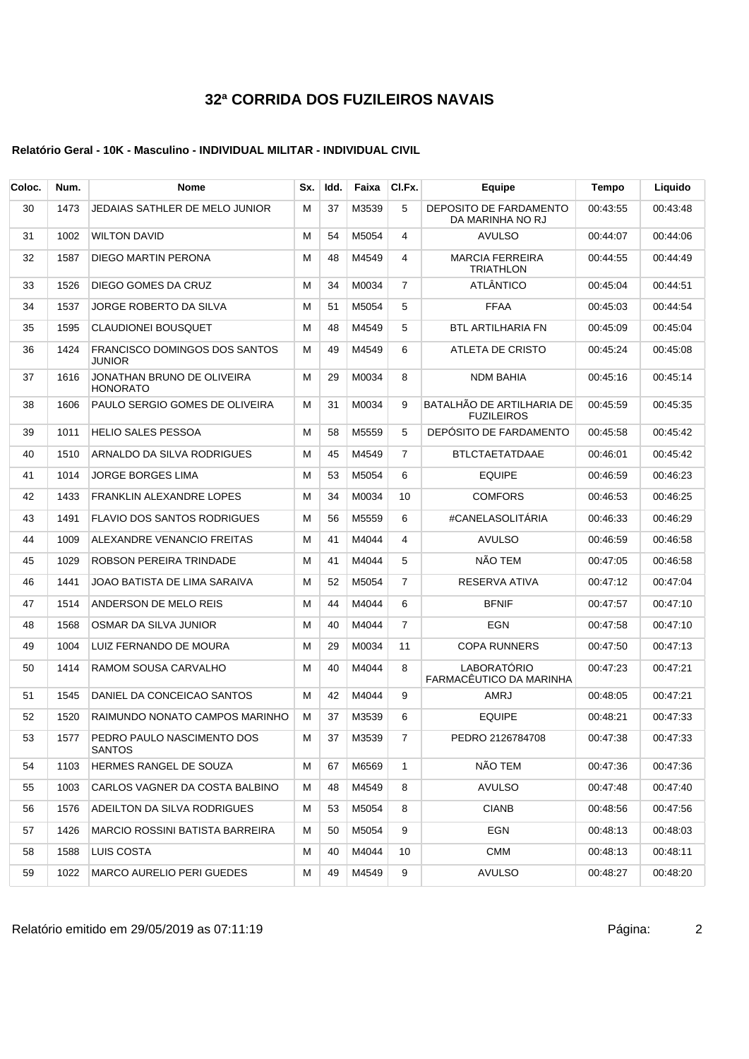| Coloc. | Num. | <b>Nome</b>                                           | Sx. | Idd. | Faixa | CI.Fx.         | Equipe                                         | Tempo    | Liquido  |
|--------|------|-------------------------------------------------------|-----|------|-------|----------------|------------------------------------------------|----------|----------|
| 30     | 1473 | JEDAIAS SATHLER DE MELO JUNIOR                        | м   | 37   | M3539 | 5              | DEPOSITO DE FARDAMENTO<br>DA MARINHA NO RJ     | 00:43:55 | 00:43:48 |
| 31     | 1002 | <b>WILTON DAVID</b>                                   | м   | 54   | M5054 | 4              | <b>AVULSO</b>                                  | 00:44:07 | 00:44:06 |
| 32     | 1587 | DIEGO MARTIN PERONA                                   | м   | 48   | M4549 | 4              | <b>MARCIA FERREIRA</b><br><b>TRIATHLON</b>     | 00:44:55 | 00:44:49 |
| 33     | 1526 | DIEGO GOMES DA CRUZ                                   | М   | 34   | M0034 | $\overline{7}$ | <b>ATLÂNTICO</b>                               | 00:45:04 | 00:44:51 |
| 34     | 1537 | JORGE ROBERTO DA SILVA                                | м   | 51   | M5054 | 5              | <b>FFAA</b>                                    | 00:45:03 | 00:44:54 |
| 35     | 1595 | <b>CLAUDIONEI BOUSQUET</b>                            | М   | 48   | M4549 | 5              | <b>BTL ARTILHARIA FN</b>                       | 00:45:09 | 00:45:04 |
| 36     | 1424 | <b>FRANCISCO DOMINGOS DOS SANTOS</b><br><b>JUNIOR</b> | м   | 49   | M4549 | 6              | ATLETA DE CRISTO                               | 00:45:24 | 00:45:08 |
| 37     | 1616 | JONATHAN BRUNO DE OLIVEIRA<br><b>HONORATO</b>         | м   | 29   | M0034 | 8              | <b>NDM BAHIA</b>                               | 00:45:16 | 00:45:14 |
| 38     | 1606 | PAULO SERGIO GOMES DE OLIVEIRA                        | м   | 31   | M0034 | 9              | BATALHÃO DE ARTILHARIA DE<br><b>FUZILEIROS</b> | 00:45:59 | 00:45:35 |
| 39     | 1011 | <b>HELIO SALES PESSOA</b>                             | м   | 58   | M5559 | 5              | DEPÓSITO DE FARDAMENTO                         | 00:45:58 | 00:45:42 |
| 40     | 1510 | ARNALDO DA SILVA RODRIGUES                            | м   | 45   | M4549 | $\overline{7}$ | <b>BTLCTAETATDAAE</b>                          | 00:46:01 | 00:45:42 |
| 41     | 1014 | JORGE BORGES LIMA                                     | м   | 53   | M5054 | 6              | <b>EQUIPE</b>                                  | 00:46:59 | 00:46:23 |
| 42     | 1433 | <b>FRANKLIN ALEXANDRE LOPES</b>                       | М   | 34   | M0034 | 10             | <b>COMFORS</b>                                 | 00:46:53 | 00:46:25 |
| 43     | 1491 | <b>FLAVIO DOS SANTOS RODRIGUES</b>                    | М   | 56   | M5559 | 6              | #CANELASOLITÁRIA                               | 00:46:33 | 00:46:29 |
| 44     | 1009 | ALEXANDRE VENANCIO FREITAS                            | м   | 41   | M4044 | 4              | <b>AVULSO</b>                                  | 00:46:59 | 00:46:58 |
| 45     | 1029 | ROBSON PEREIRA TRINDADE                               | М   | 41   | M4044 | 5              | NÃO TEM                                        | 00:47:05 | 00:46:58 |
| 46     | 1441 | JOAO BATISTA DE LIMA SARAIVA                          | м   | 52   | M5054 | 7              | RESERVA ATIVA                                  | 00:47:12 | 00:47:04 |
| 47     | 1514 | ANDERSON DE MELO REIS                                 | м   | 44   | M4044 | 6              | <b>BFNIF</b>                                   | 00:47:57 | 00:47:10 |
| 48     | 1568 | OSMAR DA SILVA JUNIOR                                 | м   | 40   | M4044 | 7              | EGN                                            | 00:47:58 | 00:47:10 |
| 49     | 1004 | LUIZ FERNANDO DE MOURA                                | М   | 29   | M0034 | 11             | <b>COPA RUNNERS</b>                            | 00:47:50 | 00:47:13 |
| 50     | 1414 | RAMOM SOUSA CARVALHO                                  | М   | 40   | M4044 | 8              | LABORATÓRIO<br>FARMACÊUTICO DA MARINHA         | 00:47:23 | 00:47:21 |
| 51     | 1545 | DANIEL DA CONCEICAO SANTOS                            | м   | 42   | M4044 | 9              | AMRJ                                           | 00:48:05 | 00:47:21 |
| 52     | 1520 | RAIMUNDO NONATO CAMPOS MARINHO                        | м   | 37   | M3539 | 6              | <b>EQUIPE</b>                                  | 00:48:21 | 00:47:33 |
| 53     | 1577 | PEDRO PAULO NASCIMENTO DOS<br><b>SANTOS</b>           | M   | 37   | M3539 | $\overline{7}$ | PEDRO 2126784708                               | 00:47:38 | 00:47:33 |
| 54     | 1103 | HERMES RANGEL DE SOUZA                                | м   | 67   | M6569 | $\mathbf{1}$   | NÃO TEM                                        | 00:47:36 | 00:47:36 |
| 55     | 1003 | CARLOS VAGNER DA COSTA BALBINO                        | м   | 48   | M4549 | 8              | <b>AVULSO</b>                                  | 00:47:48 | 00:47:40 |
| 56     | 1576 | ADEILTON DA SILVA RODRIGUES                           | м   | 53   | M5054 | 8              | <b>CIANB</b>                                   | 00:48:56 | 00:47:56 |
| 57     | 1426 | MARCIO ROSSINI BATISTA BARREIRA                       | м   | 50   | M5054 | 9              | EGN                                            | 00:48:13 | 00:48:03 |
| 58     | 1588 | LUIS COSTA                                            | м   | 40   | M4044 | 10             | <b>CMM</b>                                     | 00:48:13 | 00:48:11 |
| 59     | 1022 | <b>MARCO AURELIO PERI GUEDES</b>                      | M   | 49   | M4549 | 9              | <b>AVULSO</b>                                  | 00:48:27 | 00:48:20 |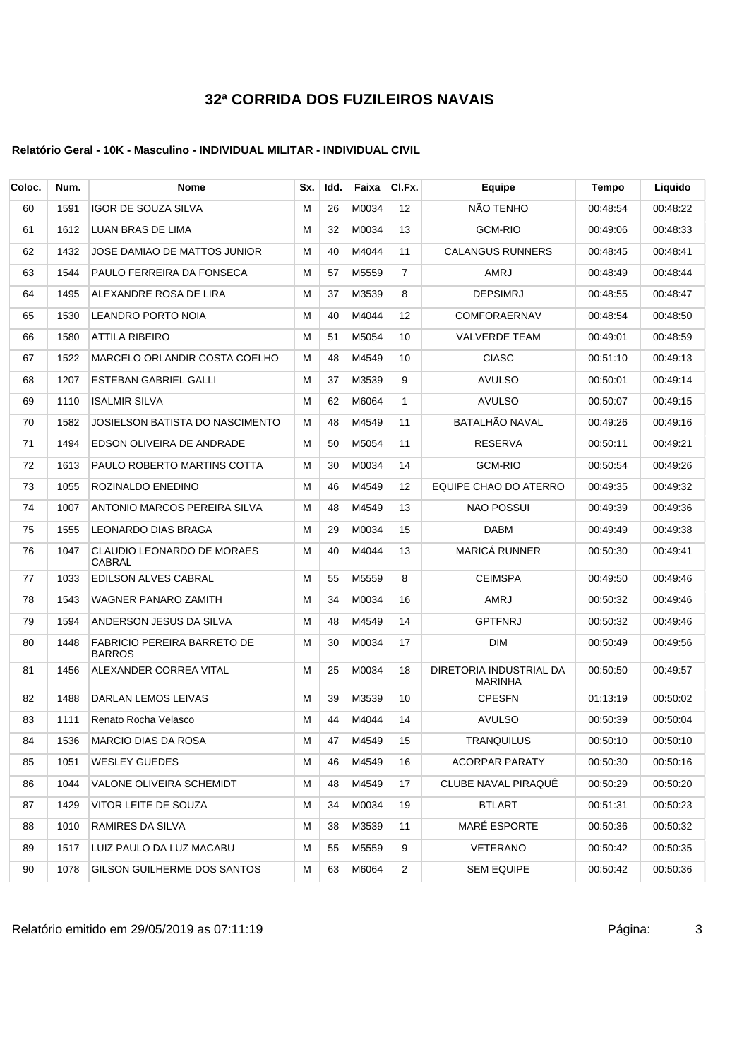### **Relatório Geral - 10K - Masculino - INDIVIDUAL MILITAR - INDIVIDUAL CIVIL**

| Coloc. | Num. | <b>Nome</b>                                         | Sx. | Idd. | Faixa    | CI.Fx.         | Equipe                             | Tempo    | Liquido  |
|--------|------|-----------------------------------------------------|-----|------|----------|----------------|------------------------------------|----------|----------|
| 60     | 1591 | <b>IGOR DE SOUZA SILVA</b>                          | М   | 26   | M0034    | 12             | NÃO TENHO                          | 00:48:54 | 00:48:22 |
| 61     | 1612 | LUAN BRAS DE LIMA                                   | м   | 32   | M0034    | 13             | GCM-RIO                            | 00:49:06 | 00:48:33 |
| 62     | 1432 | JOSE DAMIAO DE MATTOS JUNIOR                        | м   | 40   | M4044    | 11             | <b>CALANGUS RUNNERS</b>            | 00:48:45 | 00:48:41 |
| 63     | 1544 | PAULO FERREIRA DA FONSECA                           | м   | 57   | M5559    | $\overline{7}$ | AMRJ                               | 00:48:49 | 00:48:44 |
| 64     | 1495 | ALEXANDRE ROSA DE LIRA                              | м   | 37   | M3539    | 8              | <b>DEPSIMRJ</b>                    | 00:48:55 | 00:48:47 |
| 65     | 1530 | <b>LEANDRO PORTO NOIA</b>                           | М   | 40   | M4044    | 12             | <b>COMFORAERNAV</b>                | 00:48:54 | 00:48:50 |
| 66     | 1580 | <b>ATTILA RIBEIRO</b>                               | м   | 51   | M5054    | 10             | <b>VALVERDE TEAM</b>               | 00:49:01 | 00:48:59 |
| 67     | 1522 | MARCELO ORLANDIR COSTA COELHO                       | М   | 48   | M4549    | 10             | <b>CIASC</b>                       | 00:51:10 | 00:49:13 |
| 68     | 1207 | <b>ESTEBAN GABRIEL GALLI</b>                        | м   | 37   | M3539    | 9              | <b>AVULSO</b>                      | 00:50:01 | 00:49:14 |
| 69     | 1110 | <b>ISALMIR SILVA</b>                                | м   | 62   | M6064    | $\mathbf{1}$   | <b>AVULSO</b>                      | 00:50:07 | 00:49:15 |
| 70     | 1582 | JOSIELSON BATISTA DO NASCIMENTO                     | м   | 48   | M4549    | 11             | <b>BATALHÃO NAVAL</b>              | 00:49:26 | 00:49:16 |
| 71     | 1494 | EDSON OLIVEIRA DE ANDRADE                           | м   | 50   | M5054    | 11             | <b>RESERVA</b>                     | 00:50:11 | 00:49:21 |
| 72     | 1613 | PAULO ROBERTO MARTINS COTTA                         | м   | 30   | M0034    | 14             | <b>GCM-RIO</b>                     | 00:50:54 | 00:49:26 |
| 73     | 1055 | ROZINALDO ENEDINO                                   | м   | 46   | M4549    | 12             | EQUIPE CHAO DO ATERRO              | 00:49:35 | 00:49:32 |
| 74     | 1007 | ANTONIO MARCOS PEREIRA SILVA                        | м   | 48   | M4549    | 13             | <b>NAO POSSUI</b>                  | 00:49:39 | 00:49:36 |
| 75     | 1555 | LEONARDO DIAS BRAGA                                 | м   | 29   | M0034    | 15             | <b>DABM</b>                        | 00:49:49 | 00:49:38 |
| 76     | 1047 | CLAUDIO LEONARDO DE MORAES<br><b>CABRAL</b>         | м   | 40   | M4044    | 13             | MARICÁ RUNNER                      | 00:50:30 | 00:49:41 |
| 77     | 1033 | EDILSON ALVES CABRAL                                | М   | 55   | M5559    | 8              | <b>CEIMSPA</b>                     | 00:49:50 | 00:49:46 |
| 78     | 1543 | <b>WAGNER PANARO ZAMITH</b>                         | м   | 34   | M0034    | 16             | AMRJ                               | 00:50:32 | 00:49:46 |
| 79     | 1594 | ANDERSON JESUS DA SILVA                             | М   | 48   | M4549    | 14             | <b>GPTFNRJ</b>                     | 00:50:32 | 00:49:46 |
| 80     | 1448 | <b>FABRICIO PEREIRA BARRETO DE</b><br><b>BARROS</b> | м   | 30   | M0034    | 17             | <b>DIM</b>                         | 00:50:49 | 00:49:56 |
| 81     | 1456 | ALEXANDER CORREA VITAL                              | М   | 25   | M0034    | 18             | DIRETORIA INDUSTRIAL DA<br>MARINHA | 00:50:50 | 00:49:57 |
| 82     | 1488 | DARLAN LEMOS LEIVAS                                 | м   | 39   | M3539    | 10             | <b>CPESFN</b>                      | 01:13:19 | 00:50:02 |
| 83     | 1111 | Renato Rocha Velasco                                | М   | 44   | M4044    | 14             | <b>AVULSO</b>                      | 00:50:39 | 00:50:04 |
| 84     |      | 1536 MARCIO DIAS DA ROSA                            | M   |      | 47 M4549 | 15             | TRANQUILUS                         | 00:50:10 | 00:50:10 |
| 85     | 1051 | <b>WESLEY GUEDES</b>                                | М   | 46   | M4549    | 16             | <b>ACORPAR PARATY</b>              | 00:50:30 | 00:50:16 |
| 86     | 1044 | VALONE OLIVEIRA SCHEMIDT                            | М   | 48   | M4549    | 17             | CLUBE NAVAL PIRAQUE                | 00:50:29 | 00:50:20 |
| 87     | 1429 | VITOR LEITE DE SOUZA                                | М   | 34   | M0034    | 19             | <b>BTLART</b>                      | 00:51:31 | 00:50:23 |
| 88     | 1010 | RAMIRES DA SILVA                                    | М   | 38   | M3539    | 11             | <b>MARÉ ESPORTE</b>                | 00:50:36 | 00:50:32 |
| 89     | 1517 | LUIZ PAULO DA LUZ MACABU                            | М   | 55   | M5559    | 9              | VETERANO                           | 00:50:42 | 00:50:35 |
| 90     | 1078 | GILSON GUILHERME DOS SANTOS                         | М   | 63   | M6064    | $\overline{2}$ | SEM EQUIPE                         | 00:50:42 | 00:50:36 |

Relatório emitido em 29/05/2019 as 07:11:19 <br>
3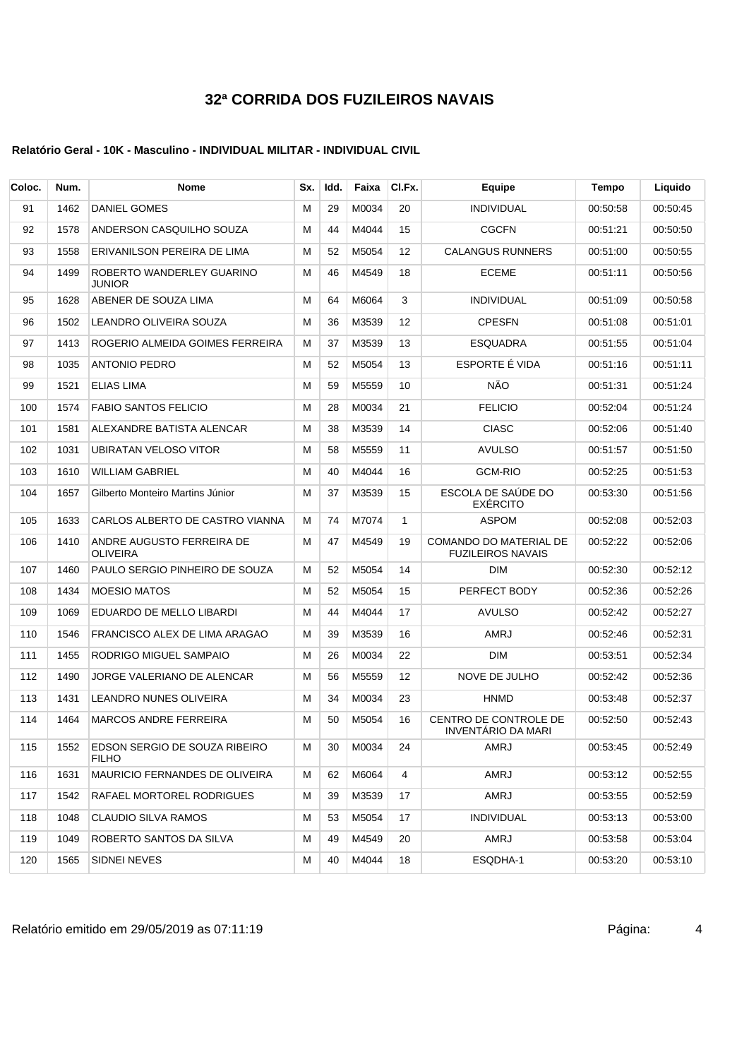| Coloc. | Num. | Nome                                          | Sx. | Idd. | Faixa | CI.Fx.       | Equipe                                             | Tempo    | Liquido  |
|--------|------|-----------------------------------------------|-----|------|-------|--------------|----------------------------------------------------|----------|----------|
| 91     | 1462 | <b>DANIEL GOMES</b>                           | M   | 29   | M0034 | 20           | <b>INDIVIDUAL</b>                                  | 00:50:58 | 00:50:45 |
| 92     | 1578 | ANDERSON CASQUILHO SOUZA                      | М   | 44   | M4044 | 15           | <b>CGCFN</b>                                       | 00:51:21 | 00:50:50 |
| 93     | 1558 | ERIVANILSON PEREIRA DE LIMA                   | м   | 52   | M5054 | 12           | <b>CALANGUS RUNNERS</b>                            | 00:51:00 | 00:50:55 |
| 94     | 1499 | ROBERTO WANDERLEY GUARINO<br><b>JUNIOR</b>    | М   | 46   | M4549 | 18           | <b>ECEME</b>                                       | 00:51:11 | 00:50:56 |
| 95     | 1628 | ABENER DE SOUZA LIMA                          | М   | 64   | M6064 | 3            | <b>INDIVIDUAL</b>                                  | 00:51:09 | 00:50:58 |
| 96     | 1502 | LEANDRO OLIVEIRA SOUZA                        | М   | 36   | M3539 | 12           | <b>CPESFN</b>                                      | 00:51:08 | 00:51:01 |
| 97     | 1413 | ROGERIO ALMEIDA GOIMES FERREIRA               | М   | 37   | M3539 | 13           | <b>ESQUADRA</b>                                    | 00:51:55 | 00:51:04 |
| 98     | 1035 | <b>ANTONIO PEDRO</b>                          | м   | 52   | M5054 | 13           | ESPORTE È VIDA                                     | 00:51:16 | 00:51:11 |
| 99     | 1521 | ELIAS LIMA                                    | M   | 59   | M5559 | 10           | NÃO                                                | 00:51:31 | 00:51:24 |
| 100    | 1574 | <b>FABIO SANTOS FELICIO</b>                   | M   | 28   | M0034 | 21           | <b>FELICIO</b>                                     | 00:52:04 | 00:51:24 |
| 101    | 1581 | ALEXANDRE BATISTA ALENCAR                     | М   | 38   | M3539 | 14           | <b>CIASC</b>                                       | 00:52:06 | 00:51:40 |
| 102    | 1031 | UBIRATAN VELOSO VITOR                         | М   | 58   | M5559 | 11           | <b>AVULSO</b>                                      | 00:51:57 | 00:51:50 |
| 103    | 1610 | WILLIAM GABRIEL                               | М   | 40   | M4044 | 16           | GCM-RIO                                            | 00:52:25 | 00:51:53 |
| 104    | 1657 | Gilberto Monteiro Martins Júnior              | М   | 37   | M3539 | 15           | ESCOLA DE SAUDE DO<br><b>EXERCITO</b>              | 00:53:30 | 00:51:56 |
| 105    | 1633 | CARLOS ALBERTO DE CASTRO VIANNA               | М   | 74   | M7074 | $\mathbf{1}$ | <b>ASPOM</b>                                       | 00:52:08 | 00.52:03 |
| 106    | 1410 | ANDRE AUGUSTO FERREIRA DE<br><b>OLIVEIRA</b>  | М   | 47   | M4549 | 19           | COMANDO DO MATERIAL DE<br><b>FUZILEIROS NAVAIS</b> | 00:52:22 | 00:52:06 |
| 107    | 1460 | PAULO SERGIO PINHEIRO DE SOUZA                | М   | 52   | M5054 | 14           | <b>DIM</b>                                         | 00:52:30 | 00:52:12 |
| 108    | 1434 | <b>MOESIO MATOS</b>                           | м   | 52   | M5054 | 15           | PERFECT BODY                                       | 00:52:36 | 00:52:26 |
| 109    | 1069 | EDUARDO DE MELLO LIBARDI                      | М   | 44   | M4044 | 17           | <b>AVULSO</b>                                      | 00:52:42 | 00:52:27 |
| 110    | 1546 | FRANCISCO ALEX DE LIMA ARAGAO                 | М   | 39   | M3539 | 16           | <b>AMRJ</b>                                        | 00:52:46 | 00:52:31 |
| 111    | 1455 | RODRIGO MIGUEL SAMPAIO                        | М   | 26   | M0034 | 22           | <b>DIM</b>                                         | 00:53:51 | 00:52:34 |
| 112    | 1490 | JORGE VALERIANO DE ALENCAR                    | M   | 56   | M5559 | 12           | NOVE DE JULHO                                      | 00:52:42 | 00:52:36 |
| 113    | 1431 | LEANDRO NUNES OLIVEIRA                        | м   | 34   | M0034 | 23           | <b>HNMD</b>                                        | 00:53:48 | 00:52:37 |
| 114    | 1464 | <b>MARCOS ANDRE FERREIRA</b>                  | M   | 50   | M5054 | 16           | CENTRO DE CONTROLE DE<br><b>INVENTÁRIO DA MARI</b> | 00:52:50 | 00:52:43 |
| 115    | 1552 | EDSON SERGIO DE SOUZA RIBEIRO<br><b>FILHO</b> | м   | 30   | M0034 | 24           | AMRJ                                               | 00:53:45 | 00:52:49 |
| 116    | 1631 | MAURICIO FERNANDES DE OLIVEIRA                | м   | 62   | M6064 | 4            | AMRJ                                               | 00:53:12 | 00:52:55 |
| 117    | 1542 | RAFAEL MORTOREL RODRIGUES                     | м   | 39   | M3539 | 17           | AMRJ                                               | 00:53:55 | 00:52:59 |
| 118    | 1048 | <b>CLAUDIO SILVA RAMOS</b>                    | М   | 53   | M5054 | 17           | <b>INDIVIDUAL</b>                                  | 00:53:13 | 00:53:00 |
| 119    | 1049 | ROBERTO SANTOS DA SILVA                       | м   | 49   | M4549 | 20           | AMRJ                                               | 00:53:58 | 00:53:04 |
| 120    | 1565 | SIDNEI NEVES                                  | м   | 40   | M4044 | 18           | ESQDHA-1                                           | 00:53:20 | 00:53:10 |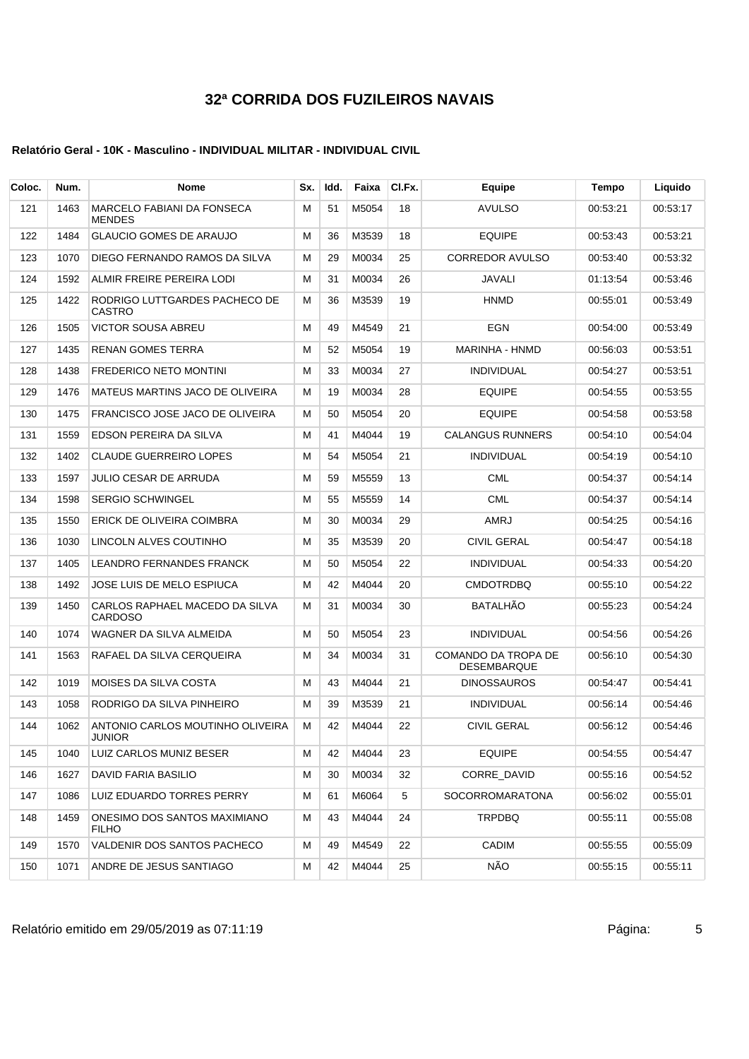| Coloc. | Num. | <b>Nome</b>                                        | Sx. | ldd. | Faixa | CI.Fx. | Equipe                                    | Tempo    | Liquido  |
|--------|------|----------------------------------------------------|-----|------|-------|--------|-------------------------------------------|----------|----------|
| 121    | 1463 | <b>MARCELO FABIANI DA FONSECA</b><br><b>MENDES</b> | м   | 51   | M5054 | 18     | <b>AVULSO</b>                             | 00:53:21 | 00:53:17 |
| 122    | 1484 | <b>GLAUCIO GOMES DE ARAUJO</b>                     | м   | 36   | M3539 | 18     | <b>EQUIPE</b>                             | 00:53:43 | 00:53:21 |
| 123    | 1070 | DIEGO FERNANDO RAMOS DA SILVA                      | м   | 29   | M0034 | 25     | <b>CORREDOR AVULSO</b>                    | 00:53:40 | 00:53:32 |
| 124    | 1592 | ALMIR FREIRE PEREIRA LODI                          | М   | 31   | M0034 | 26     | JAVALI                                    | 01:13:54 | 00:53:46 |
| 125    | 1422 | RODRIGO LUTTGARDES PACHECO DE<br><b>CASTRO</b>     | м   | 36   | M3539 | 19     | <b>HNMD</b>                               | 00:55:01 | 00:53:49 |
| 126    | 1505 | <b>VICTOR SOUSA ABREU</b>                          | м   | 49   | M4549 | 21     | EGN                                       | 00:54:00 | 00:53:49 |
| 127    | 1435 | RENAN GOMES TERRA                                  | м   | 52   | M5054 | 19     | MARINHA - HNMD                            | 00:56:03 | 00:53:51 |
| 128    | 1438 | <b>FREDERICO NETO MONTINI</b>                      | м   | 33   | M0034 | 27     | <b>INDIVIDUAL</b>                         | 00:54:27 | 00:53:51 |
| 129    | 1476 | MATEUS MARTINS JACO DE OLIVEIRA                    | м   | 19   | M0034 | 28     | <b>EQUIPE</b>                             | 00:54:55 | 00:53:55 |
| 130    | 1475 | FRANCISCO JOSE JACO DE OLIVEIRA                    | м   | 50   | M5054 | 20     | <b>EQUIPE</b>                             | 00:54:58 | 00:53:58 |
| 131    | 1559 | EDSON PEREIRA DA SILVA                             | М   | 41   | M4044 | 19     | <b>CALANGUS RUNNERS</b>                   | 00:54:10 | 00:54:04 |
| 132    | 1402 | <b>CLAUDE GUERREIRO LOPES</b>                      | М   | 54   | M5054 | 21     | <b>INDIVIDUAL</b>                         | 00:54:19 | 00:54:10 |
| 133    | 1597 | JULIO CESAR DE ARRUDA                              | м   | 59   | M5559 | 13     | CML                                       | 00:54:37 | 00:54:14 |
| 134    | 1598 | <b>SERGIO SCHWINGEL</b>                            | м   | 55   | M5559 | 14     | CML                                       | 00:54:37 | 00:54:14 |
| 135    | 1550 | ERICK DE OLIVEIRA COIMBRA                          | М   | 30   | M0034 | 29     | AMRJ                                      | 00:54:25 | 00:54:16 |
| 136    | 1030 | LINCOLN ALVES COUTINHO                             | м   | 35   | M3539 | 20     | <b>CIVIL GERAL</b>                        | 00:54:47 | 00:54:18 |
| 137    | 1405 | <b>LEANDRO FERNANDES FRANCK</b>                    | М   | 50   | M5054 | 22     | <b>INDIVIDUAL</b>                         | 00:54:33 | 00:54:20 |
| 138    | 1492 | JOSE LUIS DE MELO ESPIUCA                          | м   | 42   | M4044 | 20     | <b>CMDOTRDBQ</b>                          | 00:55:10 | 00:54:22 |
| 139    | 1450 | CARLOS RAPHAEL MACEDO DA SILVA<br><b>CARDOSO</b>   | м   | 31   | M0034 | 30     | <b>BATALHAO</b>                           | 00:55:23 | 00:54:24 |
| 140    | 1074 | WAGNER DA SILVA ALMEIDA                            | М   | 50   | M5054 | 23     | <b>INDIVIDUAL</b>                         | 00:54:56 | 00:54:26 |
| 141    | 1563 | RAFAEL DA SILVA CERQUEIRA                          | М   | 34   | M0034 | 31     | COMANDO DA TROPA DE<br><b>DESEMBARQUE</b> | 00:56:10 | 00:54:30 |
| 142    | 1019 | MOISES DA SILVA COSTA                              | м   | 43   | M4044 | 21     | <b>DINOSSAUROS</b>                        | 00:54:47 | 00:54:41 |
| 143    | 1058 | RODRIGO DA SILVA PINHEIRO                          | м   | 39   | M3539 | 21     | <b>INDIVIDUAL</b>                         | 00:56:14 | 00:54:46 |
| 144    | 1062 | ANTONIO CARLOS MOUTINHO OLIVEIRA<br>JUNIOR         | м   | 42   | M4044 | 22     | <b>CIVIL GERAL</b>                        | 00:56:12 | 00:54:46 |
| 145    | 1040 | LUIZ CARLOS MUNIZ BESER                            | м   | 42   | M4044 | 23     | <b>EQUIPE</b>                             | 00:54:55 | 00:54:47 |
| 146    | 1627 | DAVID FARIA BASILIO                                | M   | 30   | M0034 | 32     | CORRE_DAVID                               | 00:55:16 | 00:54:52 |
| 147    | 1086 | LUIZ EDUARDO TORRES PERRY                          | м   | 61   | M6064 | 5      | SOCORROMARATONA                           | 00:56:02 | 00:55:01 |
| 148    | 1459 | ONESIMO DOS SANTOS MAXIMIANO<br><b>FILHO</b>       | м   | 43   | M4044 | 24     | <b>TRPDBQ</b>                             | 00:55:11 | 00:55:08 |
| 149    | 1570 | VALDENIR DOS SANTOS PACHECO                        | м   | 49   | M4549 | 22     | CADIM                                     | 00:55:55 | 00:55:09 |
| 150    | 1071 | ANDRE DE JESUS SANTIAGO                            | м   | 42   | M4044 | 25     | NÃO                                       | 00:55:15 | 00:55:11 |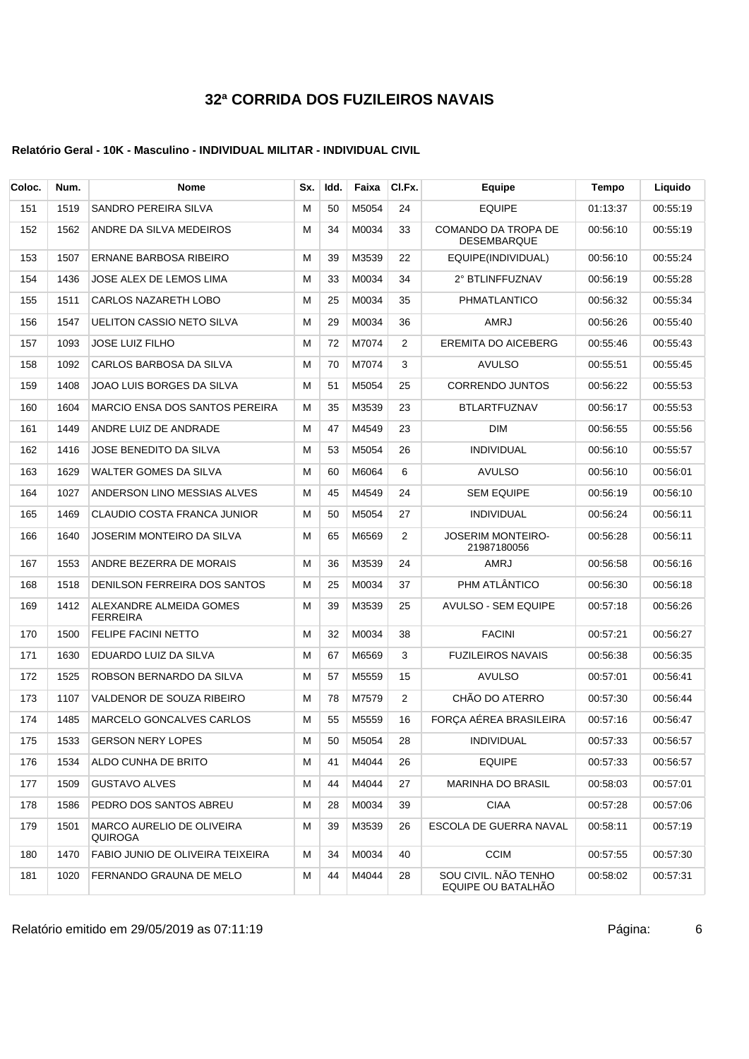### **Relatório Geral - 10K - Masculino - INDIVIDUAL MILITAR - INDIVIDUAL CIVIL**

| Coloc. | Num. | Nome                                        | Sx. | Idd. | Faixa    | CI.Fx. | Equipe                                     | Tempo    | Liquido  |
|--------|------|---------------------------------------------|-----|------|----------|--------|--------------------------------------------|----------|----------|
| 151    | 1519 | <b>SANDRO PEREIRA SILVA</b>                 | M   | 50   | M5054    | 24     | <b>EQUIPE</b>                              | 01:13:37 | 00:55:19 |
| 152    | 1562 | ANDRE DA SILVA MEDEIROS                     | M   | 34   | M0034    | 33     | COMANDO DA TROPA DE<br><b>DESEMBARQUE</b>  | 00:56:10 | 00:55:19 |
| 153    | 1507 | ERNANE BARBOSA RIBEIRO                      | M   | 39   | M3539    | 22     | EQUIPE(INDIVIDUAL)                         | 00:56:10 | 00:55:24 |
| 154    | 1436 | JOSE ALEX DE LEMOS LIMA                     | М   | 33   | M0034    | 34     | 2° BTLINFFUZNAV                            | 00:56:19 | 00:55:28 |
| 155    | 1511 | CARLOS NAZARETH LOBO                        | M   | 25   | M0034    | 35     | PHMATLANTICO                               | 00:56:32 | 00:55:34 |
| 156    | 1547 | <b>UELITON CASSIO NETO SILVA</b>            | М   | 29   | M0034    | 36     | <b>AMRJ</b>                                | 00:56:26 | 00:55:40 |
| 157    | 1093 | <b>JOSE LUIZ FILHO</b>                      | М   | 72   | M7074    | 2      | <b>EREMITA DO AICEBERG</b>                 | 00:55:46 | 00:55:43 |
| 158    | 1092 | CARLOS BARBOSA DA SILVA                     | М   | 70   | M7074    | 3      | <b>AVULSO</b>                              | 00:55:51 | 00:55:45 |
| 159    | 1408 | JOAO LUIS BORGES DA SILVA                   | M   | 51   | M5054    | 25     | <b>CORRENDO JUNTOS</b>                     | 00:56:22 | 00:55:53 |
| 160    | 1604 | MARCIO ENSA DOS SANTOS PEREIRA              | M   | 35   | M3539    | 23     | <b>BTLARTFUZNAV</b>                        | 00:56:17 | 00:55:53 |
| 161    | 1449 | ANDRE LUIZ DE ANDRADE                       | М   | 47   | M4549    | 23     | <b>DIM</b>                                 | 00:56:55 | 00:55:56 |
| 162    | 1416 | <b>JOSE BENEDITO DA SILVA</b>               | M   | 53   | M5054    | 26     | <b>INDIVIDUAL</b>                          | 00:56:10 | 00:55:57 |
| 163    | 1629 | WALTER GOMES DA SILVA                       | М   | 60   | M6064    | 6      | <b>AVULSO</b>                              | 00:56:10 | 00:56:01 |
| 164    | 1027 | ANDERSON LINO MESSIAS ALVES                 | М   | 45   | M4549    | 24     | <b>SEM EQUIPE</b>                          | 00:56:19 | 00:56:10 |
| 165    | 1469 | <b>CLAUDIO COSTA FRANCA JUNIOR</b>          | М   | 50   | M5054    | 27     | <b>INDIVIDUAL</b>                          | 00:56:24 | 00:56:11 |
| 166    | 1640 | JOSERIM MONTEIRO DA SILVA                   | М   | 65   | M6569    | 2      | <b>JOSERIM MONTEIRO-</b><br>21987180056    | 00:56:28 | 00:56:11 |
| 167    | 1553 | ANDRE BEZERRA DE MORAIS                     | M   | 36   | M3539    | 24     | <b>AMRJ</b>                                | 00:56:58 | 00:56:16 |
| 168    | 1518 | DENILSON FERREIRA DOS SANTOS                | М   | 25   | M0034    | 37     | PHM ATLÂNTICO                              | 00:56:30 | 00:56:18 |
| 169    | 1412 | ALEXANDRE ALMEIDA GOMES<br><b>FERREIRA</b>  | M   | 39   | M3539    | 25     | <b>AVULSO - SEM EQUIPE</b>                 | 00:57:18 | 00:56:26 |
| 170    | 1500 | <b>FELIPE FACINI NETTO</b>                  | M   | 32   | M0034    | 38     | <b>FACINI</b>                              | 00:57:21 | 00:56:27 |
| 171    | 1630 | EDUARDO LUIZ DA SILVA                       | M   | 67   | M6569    | 3      | <b>FUZILEIROS NAVAIS</b>                   | 00:56:38 | 00:56:35 |
| 172    | 1525 | ROBSON BERNARDO DA SILVA                    | M   | 57   | M5559    | 15     | <b>AVULSO</b>                              | 00:57:01 | 00:56:41 |
| 173    | 1107 | VALDENOR DE SOUZA RIBEIRO                   | М   | 78   | M7579    | 2      | CHÃO DO ATERRO                             | 00:57:30 | 00:56:44 |
| 174    | 1485 | <b>MARCELO GONCALVES CARLOS</b>             | М   | 55   | M5559    | 16     | FORÇA AÉREA BRASILEIRA                     | 00:57:16 | 00:56:47 |
| 175    | 1533 | <b>GERSON NERY LOPES</b>                    | M   |      | 50 M5054 | 28     | <b>INDIVIDUAL</b>                          | 00:57:33 | 00:56:57 |
| 176    | 1534 | ALDO CUNHA DE BRITO                         | м   | 41   | M4044    | 26     | <b>EQUIPE</b>                              | 00:57:33 | 00:56:57 |
| 177    | 1509 | <b>GUSTAVO ALVES</b>                        | М   | 44   | M4044    | 27     | <b>MARINHA DO BRASIL</b>                   | 00:58:03 | 00:57:01 |
| 178    | 1586 | PEDRO DOS SANTOS ABREU                      | М   | 28   | M0034    | 39     | <b>CIAA</b>                                | 00:57:28 | 00:57:06 |
| 179    | 1501 | <b>MARCO AURELIO DE OLIVEIRA</b><br>QUIROGA | м   | 39   | M3539    | 26     | ESCOLA DE GUERRA NAVAL                     | 00:58:11 | 00:57:19 |
| 180    | 1470 | FABIO JUNIO DE OLIVEIRA TEIXEIRA            | м   | 34   | M0034    | 40     | <b>CCIM</b>                                | 00:57:55 | 00:57:30 |
| 181    | 1020 | FERNANDO GRAUNA DE MELO                     | м   | 44   | M4044    | 28     | SOU CIVIL. NÃO TENHO<br>EQUIPE OU BATALHÃO | 00:58:02 | 00:57:31 |

Relatório emitido em 29/05/2019 as 07:11:19 Página: 6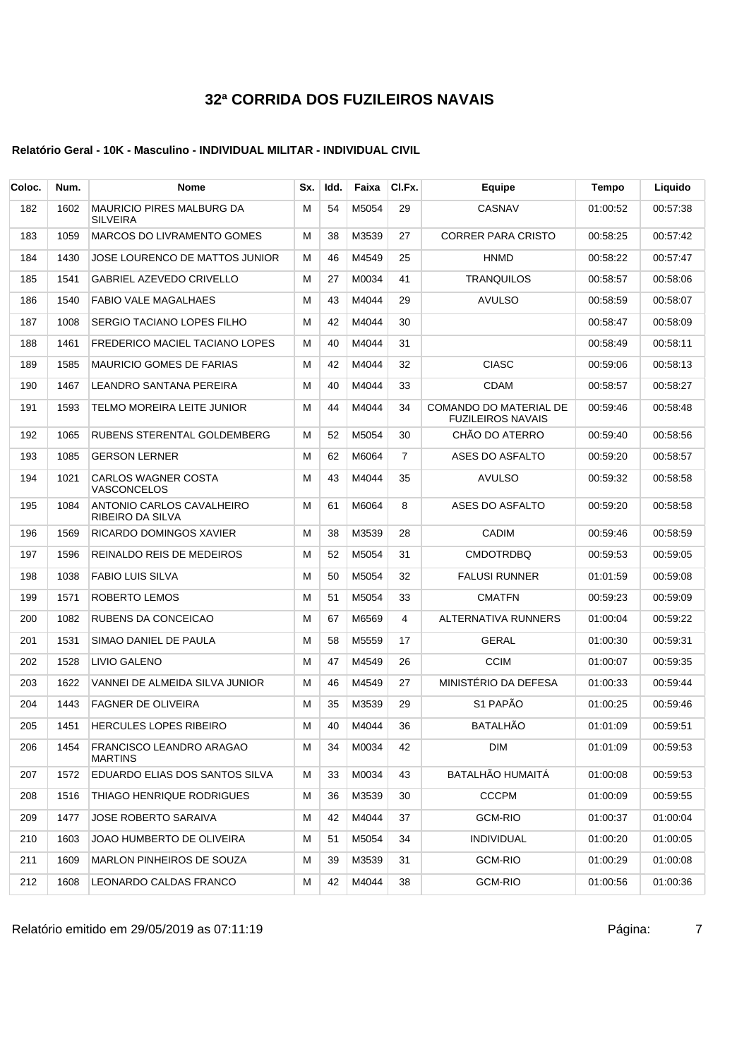### **Relatório Geral - 10K - Masculino - INDIVIDUAL MILITAR - INDIVIDUAL CIVIL**

| Coloc. | Num. | <b>Nome</b>                                         | Sx. | ldd. | Faixa | CI.Fx. | Equipe                                             | Tempo    | Liquido  |
|--------|------|-----------------------------------------------------|-----|------|-------|--------|----------------------------------------------------|----------|----------|
| 182    | 1602 | <b>MAURICIO PIRES MALBURG DA</b><br><b>SILVEIRA</b> | м   | 54   | M5054 | 29     | CASNAV                                             | 01:00:52 | 00.57.38 |
| 183    | 1059 | <b>MARCOS DO LIVRAMENTO GOMES</b>                   | М   | 38   | M3539 | 27     | <b>CORRER PARA CRISTO</b>                          | 00:58:25 | 00:57:42 |
| 184    | 1430 | JOSE LOURENCO DE MATTOS JUNIOR                      | м   | 46   | M4549 | 25     | <b>HNMD</b>                                        | 00:58:22 | 00:57:47 |
| 185    | 1541 | <b>GABRIEL AZEVEDO CRIVELLO</b>                     | м   | 27   | M0034 | 41     | <b>TRANQUILOS</b>                                  | 00:58:57 | 00:58:06 |
| 186    | 1540 | <b>FABIO VALE MAGALHAES</b>                         | м   | 43   | M4044 | 29     | AVULSO                                             | 00:58:59 | 00:58:07 |
| 187    | 1008 | SERGIO TACIANO LOPES FILHO                          | м   | 42   | M4044 | 30     |                                                    | 00:58:47 | 00:58:09 |
| 188    | 1461 | FREDERICO MACIEL TACIANO LOPES                      | М   | 40   | M4044 | 31     |                                                    | 00:58:49 | 00:58:11 |
| 189    | 1585 | <b>MAURICIO GOMES DE FARIAS</b>                     | м   | 42   | M4044 | 32     | <b>CIASC</b>                                       | 00:59:06 | 00:58:13 |
| 190    | 1467 | LEANDRO SANTANA PEREIRA                             | м   | 40   | M4044 | 33     | <b>CDAM</b>                                        | 00:58:57 | 00:58:27 |
| 191    | 1593 | TELMO MOREIRA LEITE JUNIOR                          | м   | 44   | M4044 | 34     | COMANDO DO MATERIAL DE<br><b>FUZILEIROS NAVAIS</b> | 00:59:46 | 00:58:48 |
| 192    | 1065 | RUBENS STERENTAL GOLDEMBERG                         | M   | 52   | M5054 | 30     | CHÃO DO ATERRO                                     | 00:59:40 | 00:58:56 |
| 193    | 1085 | <b>GERSON LERNER</b>                                | М   | 62   | M6064 | 7      | ASES DO ASFALTO                                    | 00:59:20 | 00:58:57 |
| 194    | 1021 | CARLOS WAGNER COSTA<br>VASCONCELOS                  | M   | 43   | M4044 | 35     | AVULSO                                             | 00:59:32 | 00:58:58 |
| 195    | 1084 | ANTONIO CARLOS CAVALHEIRO<br>RIBEIRO DA SILVA       | М   | 61   | M6064 | 8      | ASES DO ASFALTO                                    | 00:59:20 | 00:58:58 |
| 196    | 1569 | RICARDO DOMINGOS XAVIER                             | M   | 38   | M3539 | 28     | <b>CADIM</b>                                       | 00:59:46 | 00:58:59 |
| 197    | 1596 | REINALDO REIS DE MEDEIROS                           | M   | 52   | M5054 | 31     | <b>CMDOTRDBQ</b>                                   | 00:59:53 | 00:59:05 |
| 198    | 1038 | <b>FABIO LUIS SILVA</b>                             | м   | 50   | M5054 | 32     | <b>FALUSI RUNNER</b>                               | 01:01:59 | 00:59:08 |
| 199    | 1571 | ROBERTO LEMOS                                       | M   | 51   | M5054 | 33     | <b>CMATFN</b>                                      | 00:59:23 | 00:59:09 |
| 200    | 1082 | RUBENS DA CONCEICAO                                 | M   | 67   | M6569 | 4      | ALTERNATIVA RUNNERS                                | 01:00:04 | 00:59:22 |
| 201    | 1531 | SIMAO DANIEL DE PAULA                               | М   | 58   | M5559 | 17     | <b>GERAL</b>                                       | 01:00:30 | 00 59:31 |
| 202    | 1528 | LIVIO GALENO                                        | M   | 47   | M4549 | 26     | <b>CCIM</b>                                        | 01:00:07 | 00:59:35 |
| 203    | 1622 | VANNEI DE ALMEIDA SILVA JUNIOR                      | М   | 46   | M4549 | 27     | MINISTÉRIO DA DEFESA                               | 01:00:33 | 00:59:44 |
| 204    | 1443 | <b>FAGNER DE OLIVEIRA</b>                           | М   | 35   | M3539 | 29     | S1 PAPÃO                                           | 01:00:25 | 00:59:46 |
| 205    | 1451 | <b>HERCULES LOPES RIBEIRO</b>                       | м   | 40   | M4044 | 36     | <b>BATALHÃO</b>                                    | 01:01:09 | 00:59:51 |
| 206    | 1454 | FRANCISCO LEANDRO ARAGAO<br><b>MARTINS</b>          | м   | 34   | M0034 | 42     | <b>DIM</b>                                         | 01:01:09 | 00:59:53 |
| 207    | 1572 | EDUARDO ELIAS DOS SANTOS SILVA                      | М   | 33   | M0034 | 43     | BATALHÃO HUMAITÁ                                   | 01:00:08 | 00:59:53 |
| 208    | 1516 | THIAGO HENRIQUE RODRIGUES                           | м   | 36   | M3539 | 30     | <b>CCCPM</b>                                       | 01:00:09 | 00:59:55 |
| 209    | 1477 | <b>JOSE ROBERTO SARAIVA</b>                         | М   | 42   | M4044 | 37     | GCM-RIO                                            | 01:00:37 | 01:00:04 |
| 210    | 1603 | JOAO HUMBERTO DE OLIVEIRA                           | М   | 51   | M5054 | 34     | <b>INDIVIDUAL</b>                                  | 01:00:20 | 01:00:05 |
| 211    | 1609 | MARLON PINHEIROS DE SOUZA                           | м   | 39   | M3539 | 31     | GCM-RIO                                            | 01:00:29 | 01:00:08 |
| 212    | 1608 | LEONARDO CALDAS FRANCO                              | м   | 42   | M4044 | 38     | <b>GCM-RIO</b>                                     | 01:00:56 | 01:00:36 |

Relatório emitido em 29/05/2019 as 07:11:19 Página: 7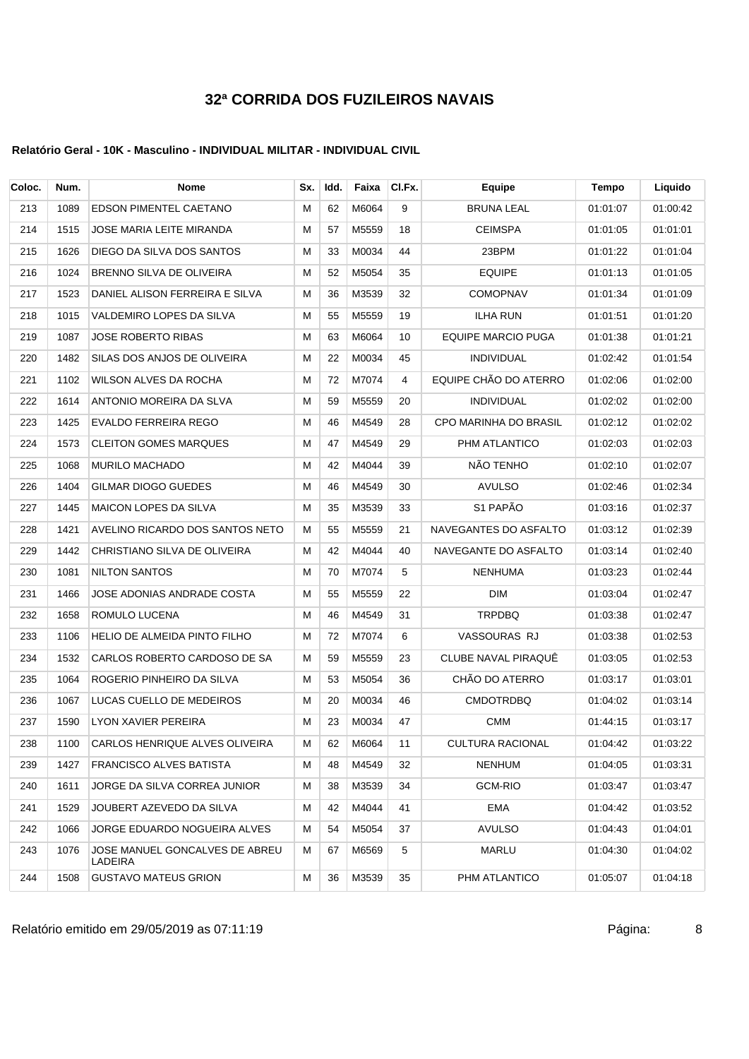### **Relatório Geral - 10K - Masculino - INDIVIDUAL MILITAR - INDIVIDUAL CIVIL**

| Coloc. | Num. | <b>Nome</b>                               | Sx. | Idd. | Faixa | CI.Fx. | Equipe                    | Tempo    | Liquido  |
|--------|------|-------------------------------------------|-----|------|-------|--------|---------------------------|----------|----------|
| 213    | 1089 | <b>EDSON PIMENTEL CAETANO</b>             | м   | 62   | M6064 | 9      | <b>BRUNA LEAL</b>         | 01:01:07 | 01:00:42 |
| 214    | 1515 | JOSE MARIA LEITE MIRANDA                  | Μ   | 57   | M5559 | 18     | <b>CEIMSPA</b>            | 01:01:05 | 01:01:01 |
| 215    | 1626 | DIEGO DA SILVA DOS SANTOS                 | м   | 33   | M0034 | 44     | 23BPM                     | 01:01:22 | 01:01:04 |
| 216    | 1024 | BRENNO SILVA DE OLIVEIRA                  | м   | 52   | M5054 | 35     | <b>EQUIPE</b>             | 01:01:13 | 01:01:05 |
| 217    | 1523 | DANIEL ALISON FERREIRA E SILVA            | Μ   | 36   | M3539 | 32     | <b>COMOPNAV</b>           | 01:01:34 | 01:01:09 |
| 218    | 1015 | VALDEMIRO LOPES DA SILVA                  | Μ   | 55   | M5559 | 19     | <b>ILHA RUN</b>           | 01:01:51 | 01:01:20 |
| 219    | 1087 | <b>JOSE ROBERTO RIBAS</b>                 | М   | 63   | M6064 | 10     | <b>EQUIPE MARCIO PUGA</b> | 01:01:38 | 01:01:21 |
| 220    | 1482 | SILAS DOS ANJOS DE OLIVEIRA               | Μ   | 22   | M0034 | 45     | <b>INDIVIDUAL</b>         | 01:02:42 | 01:01:54 |
| 221    | 1102 | WILSON ALVES DA ROCHA                     | м   | 72   | M7074 | 4      | EQUIPE CHÃO DO ATERRO     | 01:02:06 | 01:02:00 |
| 222    | 1614 | ANTONIO MOREIRA DA SLVA                   | м   | 59   | M5559 | 20     | <b>INDIVIDUAL</b>         | 01:02:02 | 01:02:00 |
| 223    | 1425 | EVALDO FERREIRA REGO                      | Μ   | 46   | M4549 | 28     | CPO MARINHA DO BRASIL     | 01:02:12 | 01:02:02 |
| 224    | 1573 | <b>CLEITON GOMES MARQUES</b>              | Μ   | 47   | M4549 | 29     | PHM ATLANTICO             | 01:02:03 | 01:02:03 |
| 225    | 1068 | <b>MURILO MACHADO</b>                     | М   | 42   | M4044 | 39     | NÃO TENHO                 | 01:02:10 | 01:02:07 |
| 226    | 1404 | <b>GILMAR DIOGO GUEDES</b>                | Μ   | 46   | M4549 | 30     | <b>AVULSO</b>             | 01:02:46 | 01:02:34 |
| 227    | 1445 | <b>MAICON LOPES DA SILVA</b>              | м   | 35   | M3539 | 33     | S1 PAPÃO                  | 01:03:16 | 01:02:37 |
| 228    | 1421 | AVELINO RICARDO DOS SANTOS NETO           | м   | 55   | M5559 | 21     | NAVEGANTES DO ASFALTO     | 01:03:12 | 01:02:39 |
| 229    | 1442 | CHRISTIANO SILVA DE OLIVEIRA              | Μ   | 42   | M4044 | 40     | NAVEGANTE DO ASFALTO      | 01:03:14 | 01:02:40 |
| 230    | 1081 | <b>NILTON SANTOS</b>                      | м   | 70   | M7074 | 5      | <b>NENHUMA</b>            | 01:03:23 | 01:02:44 |
| 231    | 1466 | JOSE ADONIAS ANDRADE COSTA                | М   | 55   | M5559 | 22     | DIM                       | 01:03:04 | 01:02:47 |
| 232    | 1658 | ROMULO LUCENA                             | Μ   | 46   | M4549 | 31     | <b>TRPDBQ</b>             | 01:03:38 | 01:02:47 |
| 233    | 1106 | HELIO DE ALMEIDA PINTO FILHO              | м   | 72   | M7074 | 6      | VASSOURAS RJ              | 01:03:38 | 01:02:53 |
| 234    | 1532 | CARLOS ROBERTO CARDOSO DE SA              | м   | 59   | M5559 | 23     | CLUBE NAVAL PIRAQUÊ       | 01:03:05 | 01:02:53 |
| 235    | 1064 | ROGERIO PINHEIRO DA SILVA                 | Μ   | 53   | M5054 | 36     | CHÃO DO ATERRO            | 01:03:17 | 01:03:01 |
| 236    | 1067 | LUCAS CUELLO DE MEDEIROS                  | М   | 20   | M0034 | 46     | <b>CMDOTRDBQ</b>          | 01:04:02 | 01:03:14 |
| 237    | 1590 | LYON XAVIER PEREIRA                       | м   | 23   | M0034 | 47     | <b>CMM</b>                | 01:44:15 | 01:03:17 |
| 238    | 1100 | CARLOS HENRIQUE ALVES OLIVEIRA            | М   | 62   | M6064 | 11     | <b>CULTURA RACIONAL</b>   | 01:04:42 | 01:03:22 |
| 239    | 1427 | <b>FRANCISCO ALVES BATISTA</b>            | Μ   | 48   | M4549 | 32     | <b>NENHUM</b>             | 01:04:05 | 01:03:31 |
| 240    | 1611 | JORGE DA SILVA CORREA JUNIOR              | м   | 38   | M3539 | 34     | GCM-RIO                   | 01:03:47 | 01:03:47 |
| 241    | 1529 | JOUBERT AZEVEDO DA SILVA                  | Μ   | 42   | M4044 | 41     | EMA                       | 01:04:42 | 01:03:52 |
| 242    | 1066 | JORGE EDUARDO NOGUEIRA ALVES              | M   | 54   | M5054 | 37     | <b>AVULSO</b>             | 01:04:43 | 01:04:01 |
| 243    | 1076 | JOSE MANUEL GONCALVES DE ABREU<br>LADEIRA | М   | 67   | M6569 | 5      | MARLU                     | 01:04:30 | 01:04:02 |
| 244    | 1508 | <b>GUSTAVO MATEUS GRION</b>               | Μ   | 36   | M3539 | 35     | PHM ATLANTICO             | 01:05:07 | 01:04:18 |

Relatório emitido em 29/05/2019 as 07:11:19 <br>
8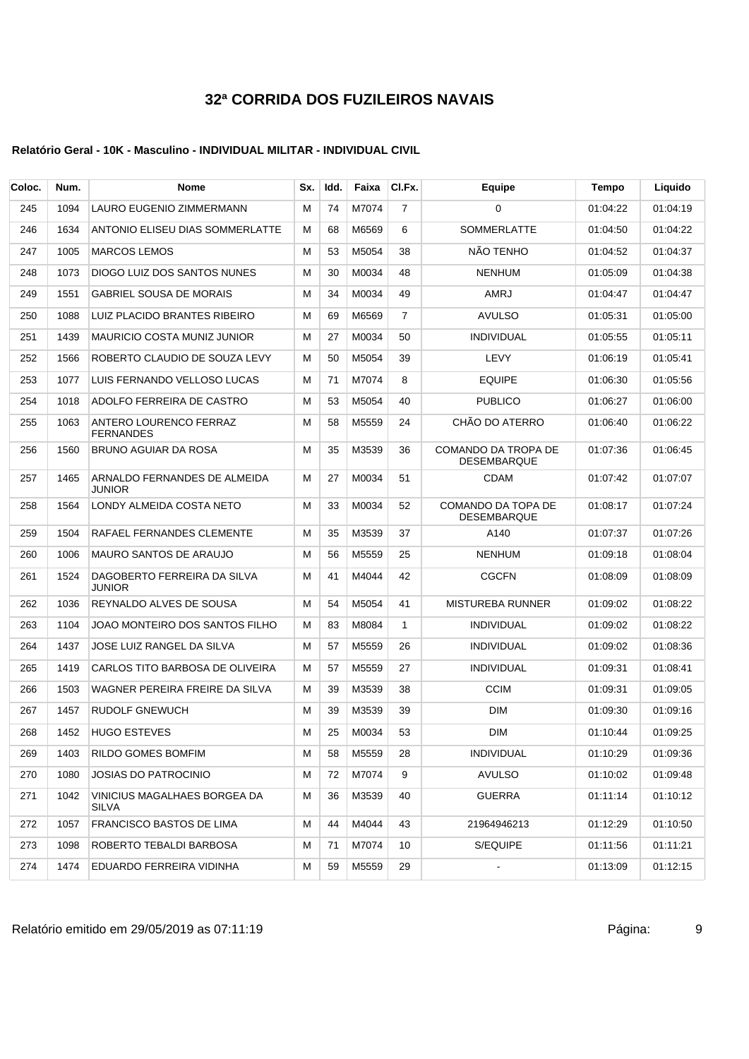### **Relatório Geral - 10K - Masculino - INDIVIDUAL MILITAR - INDIVIDUAL CIVIL**

| Coloc. | Num. | Nome                                         | Sx. | ldd. | Faixa | CI.Fx.         | Equipe                                    | Tempo    | Liquido  |
|--------|------|----------------------------------------------|-----|------|-------|----------------|-------------------------------------------|----------|----------|
| 245    | 1094 | <b>LAURO EUGENIO ZIMMERMANN</b>              | М   | 74   | M7074 | 7              | 0                                         | 01:04:22 | 01:04:19 |
| 246    | 1634 | ANTONIO ELISEU DIAS SOMMERLATTE              | М   | 68   | M6569 | 6              | <b>SOMMERLATTE</b>                        | 01:04:50 | 01:04:22 |
| 247    | 1005 | <b>MARCOS LEMOS</b>                          | м   | 53   | M5054 | 38             | NÃO TENHO                                 | 01:04:52 | 01:04:37 |
| 248    | 1073 | DIOGO LUIZ DOS SANTOS NUNES                  | M   | 30   | M0034 | 48             | <b>NENHUM</b>                             | 01:05:09 | 01:04:38 |
| 249    | 1551 | <b>GABRIEL SOUSA DE MORAIS</b>               | М   | 34   | M0034 | 49             | AMRJ                                      | 01:04:47 | 01:04:47 |
| 250    | 1088 | LUIZ PLACIDO BRANTES RIBEIRO                 | М   | 69   | M6569 | $\overline{7}$ | <b>AVULSO</b>                             | 01:05:31 | 01:05:00 |
| 251    | 1439 | <b>MAURICIO COSTA MUNIZ JUNIOR</b>           | М   | 27   | M0034 | 50             | <b>INDIVIDUAL</b>                         | 01:05:55 | 01:05:11 |
| 252    | 1566 | ROBERTO CLAUDIO DE SOUZA LEVY                | М   | 50   | M5054 | 39             | LEVY                                      | 01:06:19 | 01:05:41 |
| 253    | 1077 | LUIS FERNANDO VELLOSO LUCAS                  | м   | 71   | M7074 | 8              | <b>EQUIPE</b>                             | 01:06:30 | 01:05:56 |
| 254    | 1018 | ADOLFO FERREIRA DE CASTRO                    | М   | 53   | M5054 | 40             | <b>PUBLICO</b>                            | 01:06:27 | 01:06:00 |
| 255    | 1063 | ANTERO LOURENCO FERRAZ<br><b>FERNANDES</b>   | M   | 58   | M5559 | 24             | CHÃO DO ATERRO                            | 01:06:40 | 01:06:22 |
| 256    | 1560 | BRUNO AGUIAR DA ROSA                         | M   | 35   | M3539 | 36             | COMANDO DA TROPA DE<br><b>DESEMBARQUE</b> | 01:07:36 | 01:06:45 |
| 257    | 1465 | ARNALDO FERNANDES DE ALMEIDA<br>JUNIOR       | М   | 27   | M0034 | 51             | CDAM                                      | 01:07:42 | 01:07:07 |
| 258    | 1564 | LONDY ALMEIDA COSTA NETO                     | M   | 33   | M0034 | 52             | COMANDO DA TOPA DE<br><b>DESEMBARQUE</b>  | 01:08:17 | 01:07:24 |
| 259    | 1504 | RAFAEL FERNANDES CLEMENTE                    | М   | 35   | M3539 | 37             | A140                                      | 01:07:37 | 01:07:26 |
| 260    | 1006 | <b>MAURO SANTOS DE ARAUJO</b>                | М   | 56   | M5559 | 25             | <b>NENHUM</b>                             | 01:09:18 | 01:08:04 |
| 261    | 1524 | DAGOBERTO FERREIRA DA SILVA<br><b>JUNIOR</b> | м   | 41   | M4044 | 42             | <b>CGCFN</b>                              | 01:08:09 | 01:08:09 |
| 262    | 1036 | REYNALDO ALVES DE SOUSA                      | M   | 54   | M5054 | 41             | <b>MISTUREBA RUNNER</b>                   | 01:09:02 | 01:08:22 |
| 263    | 1104 | JOAO MONTEIRO DOS SANTOS FILHO               | M   | 83   | M8084 | $\mathbf{1}$   | <b>INDIVIDUAL</b>                         | 01:09:02 | 01:08:22 |
| 264    | 1437 | JOSE LUIZ RANGEL DA SILVA                    | М   | 57   | M5559 | 26             | <b>INDIVIDUAL</b>                         | 01:09:02 | 01:08:36 |
| 265    | 1419 | CARLOS TITO BARBOSA DE OLIVEIRA              | м   | 57   | M5559 | 27             | <b>INDIVIDUAL</b>                         | 01:09:31 | 01:08:41 |
| 266    | 1503 | WAGNER PEREIRA FREIRE DA SILVA               | М   | 39   | M3539 | 38             | <b>CCIM</b>                               | 01:09:31 | 01:09:05 |
| 267    | 1457 | <b>RUDOLF GNEWUCH</b>                        | М   | 39   | M3539 | 39             | <b>DIM</b>                                | 01:09:30 | 01:09:16 |
| 268    | 1452 | <b>HUGO ESTEVES</b>                          | м   | 25   | M0034 | 53             | <b>DIM</b>                                | 01:10:44 | 01:09:25 |
| 269    | 1403 | RILDO GOMES BOMFIM                           | M   | 58   | M5559 | 28             | <b>INDIVIDUAL</b>                         | 01:10:29 | 01:09:36 |
| 270    | 1080 | <b>JOSIAS DO PATROCINIO</b>                  | М   | 72   | M7074 | 9              | <b>AVULSO</b>                             | 01:10:02 | 01:09:48 |
| 271    | 1042 | VINICIUS MAGALHAES BORGEA DA<br><b>SILVA</b> | M   | 36   | M3539 | 40             | <b>GUERRA</b>                             | 01:11:14 | 01:10:12 |
| 272    | 1057 | FRANCISCO BASTOS DE LIMA                     | м   | 44   | M4044 | 43             | 21964946213                               | 01:12:29 | 01:10:50 |
| 273    | 1098 | ROBERTO TEBALDI BARBOSA                      | М   | 71   | M7074 | 10             | S/EQUIPE                                  | 01:11:56 | 01:11:21 |
| 274    | 1474 | EDUARDO FERREIRA VIDINHA                     | М   | 59   | M5559 | 29             | $\blacksquare$                            | 01:13:09 | 01:12:15 |

Relatório emitido em 29/05/2019 as 07:11:19 <br>
9